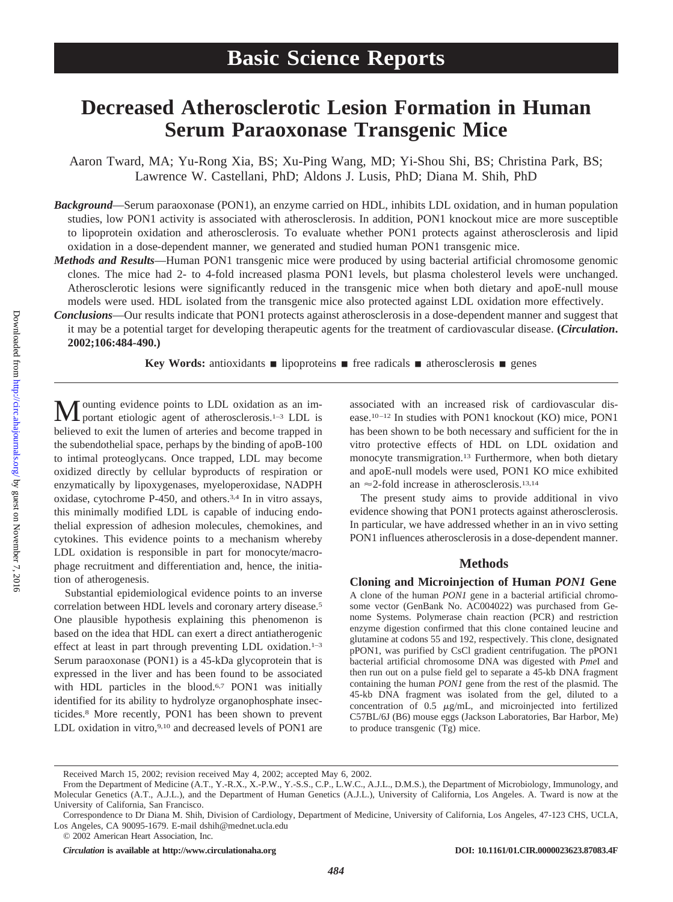# **Decreased Atherosclerotic Lesion Formation in Human Serum Paraoxonase Transgenic Mice**

Aaron Tward, MA; Yu-Rong Xia, BS; Xu-Ping Wang, MD; Yi-Shou Shi, BS; Christina Park, BS; Lawrence W. Castellani, PhD; Aldons J. Lusis, PhD; Diana M. Shih, PhD

- *Background*—Serum paraoxonase (PON1), an enzyme carried on HDL, inhibits LDL oxidation, and in human population studies, low PON1 activity is associated with atherosclerosis. In addition, PON1 knockout mice are more susceptible to lipoprotein oxidation and atherosclerosis. To evaluate whether PON1 protects against atherosclerosis and lipid oxidation in a dose-dependent manner, we generated and studied human PON1 transgenic mice.
- *Methods and Results*—Human PON1 transgenic mice were produced by using bacterial artificial chromosome genomic clones. The mice had 2- to 4-fold increased plasma PON1 levels, but plasma cholesterol levels were unchanged. Atherosclerotic lesions were significantly reduced in the transgenic mice when both dietary and apoE-null mouse models were used. HDL isolated from the transgenic mice also protected against LDL oxidation more effectively.
- *Conclusions*—Our results indicate that PON1 protects against atherosclerosis in a dose-dependent manner and suggest that it may be a potential target for developing therapeutic agents for the treatment of cardiovascular disease. **(***Circulation***. 2002;106:484-490.)**

**Key Words:** antioxidants  $\blacksquare$  lipoproteins  $\blacksquare$  free radicals  $\blacksquare$  atherosclerosis  $\blacksquare$  genes

M ounting evidence points to LDL oxidation as an important etiologic agent of atherosclerosis.<sup>1–3</sup> LDL is believed to exit the lumen of arteries and become trapped in the subendothelial space, perhaps by the binding of apoB-100 to intimal proteoglycans. Once trapped, LDL may become oxidized directly by cellular byproducts of respiration or enzymatically by lipoxygenases, myeloperoxidase, NADPH oxidase, cytochrome P-450, and others.3,4 In in vitro assays, this minimally modified LDL is capable of inducing endothelial expression of adhesion molecules, chemokines, and cytokines. This evidence points to a mechanism whereby LDL oxidation is responsible in part for monocyte/macrophage recruitment and differentiation and, hence, the initiation of atherogenesis.

Substantial epidemiological evidence points to an inverse correlation between HDL levels and coronary artery disease.5 One plausible hypothesis explaining this phenomenon is based on the idea that HDL can exert a direct antiatherogenic effect at least in part through preventing LDL oxidation.<sup>1-3</sup> Serum paraoxonase (PON1) is a 45-kDa glycoprotein that is expressed in the liver and has been found to be associated with HDL particles in the blood.<sup>6,7</sup> PON1 was initially identified for its ability to hydrolyze organophosphate insecticides.8 More recently, PON1 has been shown to prevent LDL oxidation in vitro,<sup>9,10</sup> and decreased levels of PON1 are

associated with an increased risk of cardiovascular disease.10–12 In studies with PON1 knockout (KO) mice, PON1 has been shown to be both necessary and sufficient for the in vitro protective effects of HDL on LDL oxidation and monocyte transmigration.<sup>13</sup> Furthermore, when both dietary and apoE-null models were used, PON1 KO mice exhibited an  $\approx$  2-fold increase in atherosclerosis.<sup>13,14</sup>

The present study aims to provide additional in vivo evidence showing that PON1 protects against atherosclerosis. In particular, we have addressed whether in an in vivo setting PON1 influences atherosclerosis in a dose-dependent manner.

## **Methods**

**Cloning and Microinjection of Human** *PON1* **Gene**

A clone of the human *PON1* gene in a bacterial artificial chromosome vector (GenBank No. AC004022) was purchased from Genome Systems. Polymerase chain reaction (PCR) and restriction enzyme digestion confirmed that this clone contained leucine and glutamine at codons 55 and 192, respectively. This clone, designated pPON1, was purified by CsCl gradient centrifugation. The pPON1 bacterial artificial chromosome DNA was digested with *Pme*I and then run out on a pulse field gel to separate a 45-kb DNA fragment containing the human *PON1* gene from the rest of the plasmid. The 45-kb DNA fragment was isolated from the gel, diluted to a concentration of  $0.5 \mu g/mL$ , and microinjected into fertilized C57BL/6J (B6) mouse eggs (Jackson Laboratories, Bar Harbor, Me) to produce transgenic (Tg) mice.

Received March 15, 2002; revision received May 4, 2002; accepted May 6, 2002.

From the Department of Medicine (A.T., Y.-R.X., X.-P.W., Y.-S.S., C.P., L.W.C., A.J.L., D.M.S.), the Department of Microbiology, Immunology, and Molecular Genetics (A.T., A.J.L.), and the Department of Human Genetics (A.J.L.), University of California, Los Angeles. A. Tward is now at the University of California, San Francisco.

Correspondence to Dr Diana M. Shih, Division of Cardiology, Department of Medicine, University of California, Los Angeles, 47-123 CHS, UCLA, Los Angeles, CA 90095-1679. E-mail dshih@mednet.ucla.edu

<sup>© 2002</sup> American Heart Association, Inc.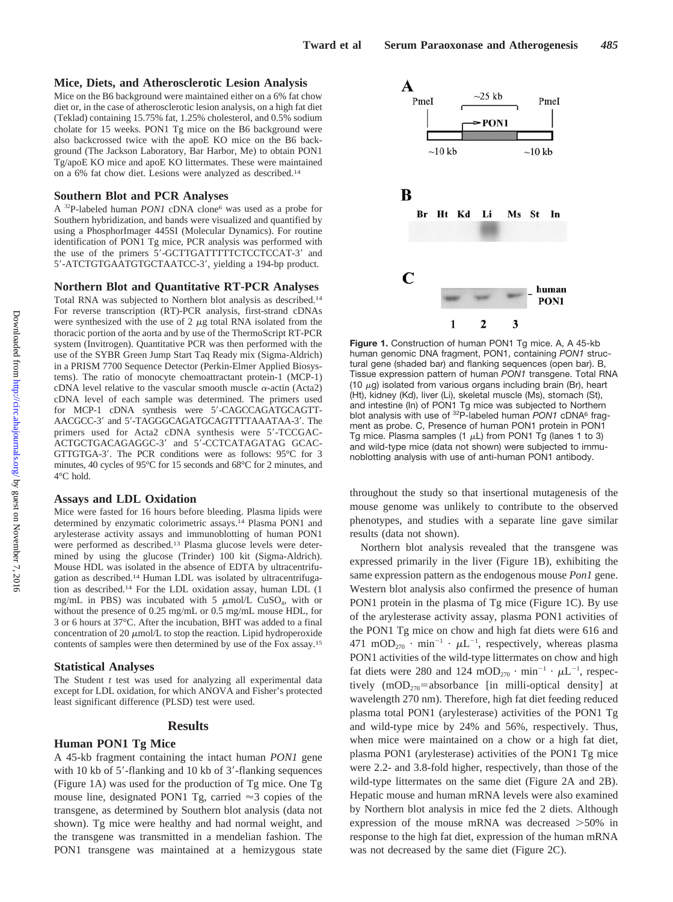#### **Mice, Diets, and Atherosclerotic Lesion Analysis**

Mice on the B6 background were maintained either on a 6% fat chow diet or, in the case of atherosclerotic lesion analysis, on a high fat diet (Teklad) containing 15.75% fat, 1.25% cholesterol, and 0.5% sodium cholate for 15 weeks. PON1 Tg mice on the B6 background were also backcrossed twice with the apoE KO mice on the B6 background (The Jackson Laboratory, Bar Harbor, Me) to obtain PON1 Tg/apoE KO mice and apoE KO littermates. These were maintained on a 6% fat chow diet. Lesions were analyzed as described.14

#### **Southern Blot and PCR Analyses**

A <sup>32</sup>P-labeled human *PON1* cDNA clone<sup>6</sup> was used as a probe for Southern hybridization, and bands were visualized and quantified by using a PhosphorImager 445SI (Molecular Dynamics). For routine identification of PON1 Tg mice, PCR analysis was performed with the use of the primers 5'-GCTTGATTTTTCTCCTCCAT-3' and 5'-ATCTGTGAATGTGCTAATCC-3', yielding a 194-bp product.

#### **Northern Blot and Quantitative RT-PCR Analyses**

Total RNA was subjected to Northern blot analysis as described.14 For reverse transcription (RT)-PCR analysis, first-strand cDNAs were synthesized with the use of  $2 \mu g$  total RNA isolated from the thoracic portion of the aorta and by use of the ThermoScript RT-PCR system (Invitrogen). Quantitative PCR was then performed with the use of the SYBR Green Jump Start Taq Ready mix (Sigma-Aldrich) in a PRISM 7700 Sequence Detector (Perkin-Elmer Applied Biosystems). The ratio of monocyte chemoattractant protein-1 (MCP-1) cDNA level relative to the vascular smooth muscle  $\alpha$ -actin (Acta2) cDNA level of each sample was determined. The primers used for MCP-1 cDNA synthesis were 5'-CAGCCAGATGCAGTT-AACGCC-3' and 5'-TAGGGCAGATGCAGTTTTAAATAA-3'. The primers used for Acta2 cDNA synthesis were 5'-TCCGAC-ACTGCTGACAGAGGC-3' and 5'-CCTCATAGATAG GCAC-GTTGTGA-3'. The PCR conditions were as follows: 95°C for 3 minutes, 40 cycles of 95°C for 15 seconds and 68°C for 2 minutes, and 4°C hold.

#### **Assays and LDL Oxidation**

Mice were fasted for 16 hours before bleeding. Plasma lipids were determined by enzymatic colorimetric assays.14 Plasma PON1 and arylesterase activity assays and immunoblotting of human PON1 were performed as described.13 Plasma glucose levels were determined by using the glucose (Trinder) 100 kit (Sigma-Aldrich). Mouse HDL was isolated in the absence of EDTA by ultracentrifugation as described.14 Human LDL was isolated by ultracentrifugation as described.14 For the LDL oxidation assay, human LDL (1 mg/mL in PBS) was incubated with 5  $\mu$ mol/L CuSO<sub>4</sub>, with or without the presence of 0.25 mg/mL or 0.5 mg/mL mouse HDL, for 3 or 6 hours at 37°C. After the incubation, BHT was added to a final concentration of 20  $\mu$ mol/L to stop the reaction. Lipid hydroperoxide contents of samples were then determined by use of the Fox assay.15

#### **Statistical Analyses**

The Student *t* test was used for analyzing all experimental data except for LDL oxidation, for which ANOVA and Fisher's protected least significant difference (PLSD) test were used.

#### **Results**

#### **Human PON1 Tg Mice**

A 45-kb fragment containing the intact human *PON1* gene with 10 kb of 5'-flanking and 10 kb of 3'-flanking sequences (Figure 1A) was used for the production of Tg mice. One Tg mouse line, designated PON1 Tg, carried  $\approx$  3 copies of the transgene, as determined by Southern blot analysis (data not shown). Tg mice were healthy and had normal weight, and the transgene was transmitted in a mendelian fashion. The PON1 transgene was maintained at a hemizygous state



**Figure 1.** Construction of human PON1 Tg mice. A, A 45-kb human genomic DNA fragment, PON1, containing *PON1* structural gene (shaded bar) and flanking sequences (open bar). B, Tissue expression pattern of human *PON1* transgene. Total RNA (10  $\mu$ g) isolated from various organs including brain (Br), heart (Ht), kidney (Kd), liver (Li), skeletal muscle (Ms), stomach (St), and intestine (In) of PON1 Tg mice was subjected to Northern blot analysis with use of <sup>32</sup>P-labeled human *PON1* cDNA<sup>6</sup> fragment as probe. C, Presence of human PON1 protein in PON1 Tg mice. Plasma samples (1  $\mu$ L) from PON1 Tg (lanes 1 to 3) and wild-type mice (data not shown) were subjected to immunoblotting analysis with use of anti-human PON1 antibody.

throughout the study so that insertional mutagenesis of the mouse genome was unlikely to contribute to the observed phenotypes, and studies with a separate line gave similar results (data not shown).

Northern blot analysis revealed that the transgene was expressed primarily in the liver (Figure 1B), exhibiting the same expression pattern as the endogenous mouse *Pon1* gene. Western blot analysis also confirmed the presence of human PON1 protein in the plasma of Tg mice (Figure 1C). By use of the arylesterase activity assay, plasma PON1 activities of the PON1 Tg mice on chow and high fat diets were 616 and 471 mOD<sub>270</sub> · min<sup>-1</sup> ·  $\mu$ L<sup>-1</sup>, respectively, whereas plasma PON1 activities of the wild-type littermates on chow and high fat diets were 280 and 124 mOD<sub>270</sub>  $\cdot$  min<sup>-1</sup>  $\cdot \mu L^{-1}$ , respectively  $(mOD_{270} = absorbance$  [in milli-optical density] at wavelength 270 nm). Therefore, high fat diet feeding reduced plasma total PON1 (arylesterase) activities of the PON1 Tg and wild-type mice by 24% and 56%, respectively. Thus, when mice were maintained on a chow or a high fat diet, plasma PON1 (arylesterase) activities of the PON1 Tg mice were 2.2- and 3.8-fold higher, respectively, than those of the wild-type littermates on the same diet (Figure 2A and 2B). Hepatic mouse and human mRNA levels were also examined by Northern blot analysis in mice fed the 2 diets. Although expression of the mouse mRNA was decreased  $>50\%$  in response to the high fat diet, expression of the human mRNA was not decreased by the same diet (Figure 2C).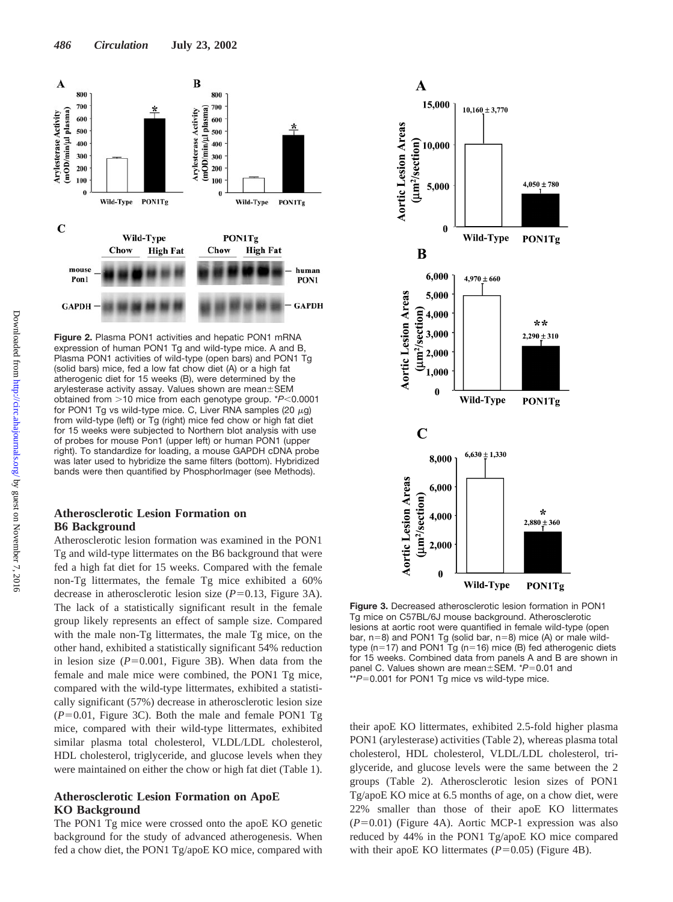

**Figure 2.** Plasma PON1 activities and hepatic PON1 mRNA expression of human PON1 Tg and wild-type mice. A and B, Plasma PON1 activities of wild-type (open bars) and PON1 Tg (solid bars) mice, fed a low fat chow diet (A) or a high fat atherogenic diet for 15 weeks (B), were determined by the arylesterase activity assay. Values shown are mean $\pm$ SEM obtained from >10 mice from each genotype group. \**P*<0.0001 for PON1 Tg vs wild-type mice. C, Liver RNA samples (20  $\mu$ g) from wild-type (left) or Tg (right) mice fed chow or high fat diet for 15 weeks were subjected to Northern blot analysis with use of probes for mouse Pon1 (upper left) or human PON1 (upper right). To standardize for loading, a mouse GAPDH cDNA probe was later used to hybridize the same filters (bottom). Hybridized bands were then quantified by PhosphorImager (see Methods).

## **Atherosclerotic Lesion Formation on B6 Background**

Atherosclerotic lesion formation was examined in the PON1 Tg and wild-type littermates on the B6 background that were fed a high fat diet for 15 weeks. Compared with the female non-Tg littermates, the female Tg mice exhibited a 60% decrease in atherosclerotic lesion size  $(P=0.13,$  Figure 3A). The lack of a statistically significant result in the female group likely represents an effect of sample size. Compared with the male non-Tg littermates, the male Tg mice, on the other hand, exhibited a statistically significant 54% reduction in lesion size  $(P=0.001$ , Figure 3B). When data from the female and male mice were combined, the PON1 Tg mice, compared with the wild-type littermates, exhibited a statistically significant (57%) decrease in atherosclerotic lesion size  $(P=0.01$ , Figure 3C). Both the male and female PON1 Tg mice, compared with their wild-type littermates, exhibited similar plasma total cholesterol, VLDL/LDL cholesterol, HDL cholesterol, triglyceride, and glucose levels when they were maintained on either the chow or high fat diet (Table 1).

## **Atherosclerotic Lesion Formation on ApoE KO Background**

The PON1 Tg mice were crossed onto the apoE KO genetic background for the study of advanced atherogenesis. When fed a chow diet, the PON1 Tg/apoE KO mice, compared with



**Figure 3.** Decreased atherosclerotic lesion formation in PON1 Tg mice on C57BL/6J mouse background. Atherosclerotic lesions at aortic root were quantified in female wild-type (open bar,  $n=8$ ) and PON1 Tg (solid bar,  $n=8$ ) mice (A) or male wildtype (n=17) and PON1 Tg (n=16) mice (B) fed atherogenic diets for 15 weeks. Combined data from panels A and B are shown in panel C. Values shown are mean±SEM. \**P*=0.01 and \*\*P=0.001 for PON1 Tg mice vs wild-type mice.

their apoE KO littermates, exhibited 2.5-fold higher plasma PON1 (arylesterase) activities (Table 2), whereas plasma total cholesterol, HDL cholesterol, VLDL/LDL cholesterol, triglyceride, and glucose levels were the same between the 2 groups (Table 2). Atherosclerotic lesion sizes of PON1 Tg/apoE KO mice at 6.5 months of age, on a chow diet, were 22% smaller than those of their apoE KO littermates  $(P=0.01)$  (Figure 4A). Aortic MCP-1 expression was also reduced by 44% in the PON1 Tg/apoE KO mice compared with their apoE KO littermates  $(P=0.05)$  (Figure 4B).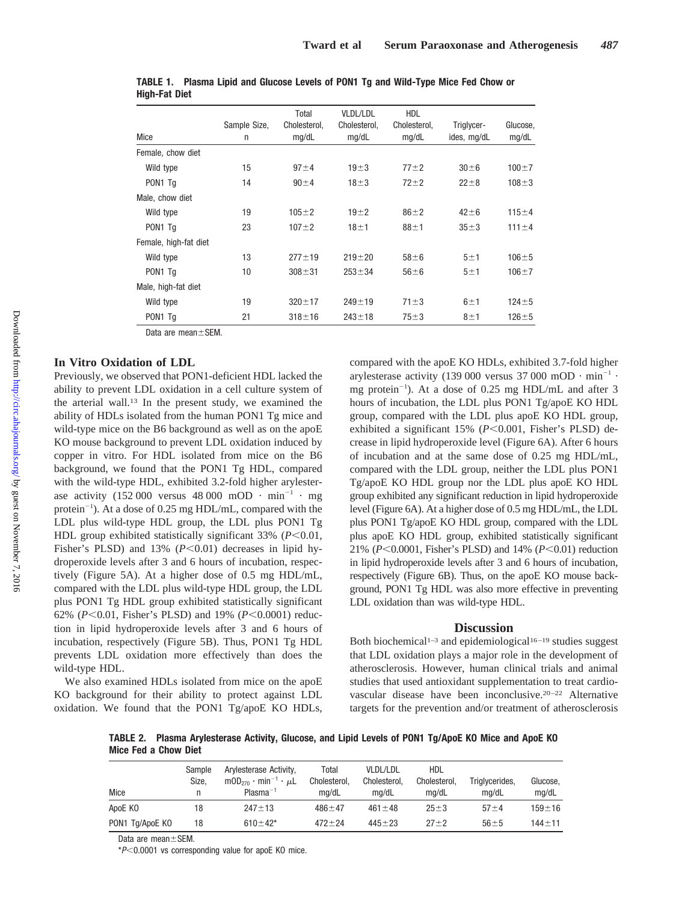|                       | Sample Size, | Total<br>Cholesterol, | <b>VLDL/LDL</b><br>Cholesterol, | <b>HDL</b><br>Cholesterol, | Triglycer-  | Glucose,    |
|-----------------------|--------------|-----------------------|---------------------------------|----------------------------|-------------|-------------|
| Mice                  | n            | mg/dL                 | mg/dL                           | mg/dL                      | ides, mg/dL | mg/dL       |
| Female, chow diet     |              |                       |                                 |                            |             |             |
| Wild type             | 15           | $97 + 4$              | $19\pm3$                        | $77 + 2$                   | $30\pm 6$   | $100 + 7$   |
| PON1 Tq               | 14           | $90 \pm 4$            | $18 \pm 3$                      | $72 + 2$                   | $22 + 8$    | $108 + 3$   |
| Male, chow diet       |              |                       |                                 |                            |             |             |
| Wild type             | 19           | $105 + 2$             | $19\pm2$                        | $86 + 2$                   | $42 + 6$    | $115 + 4$   |
| PON <sub>1</sub> Tq   | 23           | $107 + 2$             | $18+1$                          | $88 \pm 1$                 | $35 + 3$    | $111 \pm 4$ |
| Female, high-fat diet |              |                       |                                 |                            |             |             |
| Wild type             | 13           | $277 + 19$            | $219 + 20$                      | $58\pm 6$                  | 5±1         | $106 + 5$   |
| PON1 Tq               | 10           | $308 + 31$            | $253 + 34$                      | $56 + 6$                   | 5±1         | $106 + 7$   |
| Male, high-fat diet   |              |                       |                                 |                            |             |             |
| Wild type             | 19           | $320 \pm 17$          | $249 + 19$                      | $71 \pm 3$                 | 6±1         | $124 + 5$   |
| PON1 Tq               | 21           | $318 + 16$            | $243 + 18$                      | $75 + 3$                   | 8±1         | $126 + 5$   |
|                       |              |                       |                                 |                            |             |             |

| TABLE 1. Plasma Lipid and Glucose Levels of PON1 Tg and Wild-Type Mice Fed Chow or |  |  |  |  |  |  |
|------------------------------------------------------------------------------------|--|--|--|--|--|--|
| <b>High-Fat Diet</b>                                                               |  |  |  |  |  |  |

Data are mean $\pm$ SEM.

## **In Vitro Oxidation of LDL**

Previously, we observed that PON1-deficient HDL lacked the ability to prevent LDL oxidation in a cell culture system of the arterial wall.13 In the present study, we examined the ability of HDLs isolated from the human PON1 Tg mice and wild-type mice on the B6 background as well as on the apoE KO mouse background to prevent LDL oxidation induced by copper in vitro. For HDL isolated from mice on the B6 background, we found that the PON1 Tg HDL, compared with the wild-type HDL, exhibited 3.2-fold higher arylesterase activity (152 000 versus 48 000 mOD  $\cdot$  min<sup>-1</sup>  $\cdot$  mg protein<sup>-1</sup>). At a dose of 0.25 mg HDL/mL, compared with the LDL plus wild-type HDL group, the LDL plus PON1 Tg HDL group exhibited statistically significant  $33\%$  ( $P<0.01$ , Fisher's PLSD) and  $13\%$  ( $P<0.01$ ) decreases in lipid hydroperoxide levels after 3 and 6 hours of incubation, respectively (Figure 5A). At a higher dose of 0.5 mg HDL/mL, compared with the LDL plus wild-type HDL group, the LDL plus PON1 Tg HDL group exhibited statistically significant 62% ( $P \le 0.01$ , Fisher's PLSD) and 19% ( $P \le 0.0001$ ) reduction in lipid hydroperoxide levels after 3 and 6 hours of incubation, respectively (Figure 5B). Thus, PON1 Tg HDL prevents LDL oxidation more effectively than does the wild-type HDL.

We also examined HDLs isolated from mice on the apoE KO background for their ability to protect against LDL oxidation. We found that the PON1 Tg/apoE KO HDLs, compared with the apoE KO HDLs, exhibited 3.7-fold higher arylesterase activity (139 000 versus 37 000 mOD  $\cdot$  min<sup>-1</sup>  $\cdot$ mg protein<sup>-1</sup>). At a dose of 0.25 mg HDL/mL and after 3 hours of incubation, the LDL plus PON1 Tg/apoE KO HDL group, compared with the LDL plus apoE KO HDL group, exhibited a significant 15% ( $P$ <0.001, Fisher's PLSD) decrease in lipid hydroperoxide level (Figure 6A). After 6 hours of incubation and at the same dose of 0.25 mg HDL/mL, compared with the LDL group, neither the LDL plus PON1 Tg/apoE KO HDL group nor the LDL plus apoE KO HDL group exhibited any significant reduction in lipid hydroperoxide level (Figure 6A). At a higher dose of 0.5 mg HDL/mL, the LDL plus PON1 Tg/apoE KO HDL group, compared with the LDL plus apoE KO HDL group, exhibited statistically significant 21%  $(P<0.0001$ , Fisher's PLSD) and 14%  $(P<0.01)$  reduction in lipid hydroperoxide levels after 3 and 6 hours of incubation, respectively (Figure 6B). Thus, on the apoE KO mouse background, PON1 Tg HDL was also more effective in preventing LDL oxidation than was wild-type HDL.

#### **Discussion**

Both biochemical<sup>1-3</sup> and epidemiological<sup>16-19</sup> studies suggest that LDL oxidation plays a major role in the development of atherosclerosis. However, human clinical trials and animal studies that used antioxidant supplementation to treat cardiovascular disease have been inconclusive.20–22 Alternative targets for the prevention and/or treatment of atherosclerosis

**TABLE 2. Plasma Arylesterase Activity, Glucose, and Lipid Levels of PON1 Tg/ApoE KO Mice and ApoE KO Mice Fed a Chow Diet**

| Mice            | Sample<br>Size. | Arylesterase Activity,<br>$mOD_{270} \cdot min^{-1} \cdot \mu L$<br>$Plasma^{-1}$ | Total<br>Cholesterol.<br>ma/dL | <b>VLDL/LDL</b><br>Cholesterol.<br>ma/dL | HDL<br>Cholesterol.<br>ma/dL | Triglycerides,<br>ma/dL | Glucose,<br>mq/dL |
|-----------------|-----------------|-----------------------------------------------------------------------------------|--------------------------------|------------------------------------------|------------------------------|-------------------------|-------------------|
| ApoE KO         | 18              | $247 + 13$                                                                        | $486 + 47$                     | $461 + 48$                               | $25 + 3$                     | $57 + 4$                | $159 + 16$        |
| PON1 Tg/ApoE KO | 18              | $610 \pm 42^*$                                                                    | $472 + 24$                     | $445 + 23$                               | $27 + 2$                     | $56 + 5$                | $144 + 11$        |

Data are mean $\pm$ SEM.

\**P*0.0001 vs corresponding value for apoE KO mice.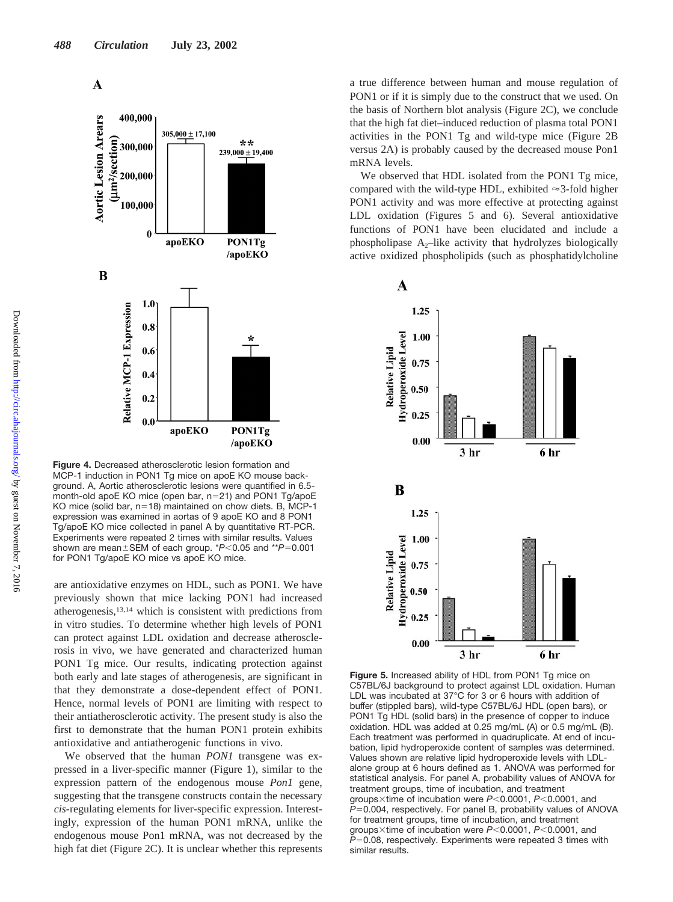

**Figure 4.** Decreased atherosclerotic lesion formation and MCP-1 induction in PON1 Tg mice on apoE KO mouse background. A, Aortic atherosclerotic lesions were quantified in 6.5 month-old apoE KO mice (open bar, n=21) and PON1 Tg/apoE KO mice (solid bar,  $n=18$ ) maintained on chow diets. B, MCP-1 expression was examined in aortas of 9 apoE KO and 8 PON1 Ta/apoE KO mice collected in panel A by quantitative RT-PCR. Experiments were repeated 2 times with similar results. Values shown are mean ± SEM of each group. \* $P$ <0.05 and \*\* $P$ =0.001 for PON1 Tg/apoE KO mice vs apoE KO mice.

are antioxidative enzymes on HDL, such as PON1. We have previously shown that mice lacking PON1 had increased atherogenesis,13,14 which is consistent with predictions from in vitro studies. To determine whether high levels of PON1 can protect against LDL oxidation and decrease atherosclerosis in vivo, we have generated and characterized human PON1 Tg mice. Our results, indicating protection against both early and late stages of atherogenesis, are significant in that they demonstrate a dose-dependent effect of PON1. Hence, normal levels of PON1 are limiting with respect to their antiatherosclerotic activity. The present study is also the first to demonstrate that the human PON1 protein exhibits antioxidative and antiatherogenic functions in vivo.

We observed that the human *PON1* transgene was expressed in a liver-specific manner (Figure 1), similar to the expression pattern of the endogenous mouse *Pon1* gene, suggesting that the transgene constructs contain the necessary *cis*-regulating elements for liver-specific expression. Interestingly, expression of the human PON1 mRNA, unlike the endogenous mouse Pon1 mRNA, was not decreased by the high fat diet (Figure 2C). It is unclear whether this represents a true difference between human and mouse regulation of PON1 or if it is simply due to the construct that we used. On the basis of Northern blot analysis (Figure 2C), we conclude that the high fat diet–induced reduction of plasma total PON1 activities in the PON1 Tg and wild-type mice (Figure 2B versus 2A) is probably caused by the decreased mouse Pon1 mRNA levels.

We observed that HDL isolated from the PON1 Tg mice, compared with the wild-type HDL, exhibited  $\approx$  3-fold higher PON1 activity and was more effective at protecting against LDL oxidation (Figures 5 and 6). Several antioxidative functions of PON1 have been elucidated and include a phospholipase  $A_2$ –like activity that hydrolyzes biologically active oxidized phospholipids (such as phosphatidylcholine



**Figure 5.** Increased ability of HDL from PON1 Tg mice on C57BL/6J background to protect against LDL oxidation. Human LDL was incubated at 37°C for 3 or 6 hours with addition of buffer (stippled bars), wild-type C57BL/6J HDL (open bars), or PON1 Tg HDL (solid bars) in the presence of copper to induce oxidation. HDL was added at 0.25 mg/mL (A) or 0.5 mg/mL (B). Each treatment was performed in quadruplicate. At end of incubation, lipid hydroperoxide content of samples was determined. Values shown are relative lipid hydroperoxide levels with LDLalone group at 6 hours defined as 1. ANOVA was performed for statistical analysis. For panel A, probability values of ANOVA for treatment groups, time of incubation, and treatment groups×time of incubation were *P*<0.0001, *P*<0.0001, and  $P=0.004$ , respectively. For panel B, probability values of ANOVA for treatment groups, time of incubation, and treatment groups×time of incubation were *P*<0.0001, *P*<0.0001, and *P*=0.08, respectively. Experiments were repeated 3 times with similar results.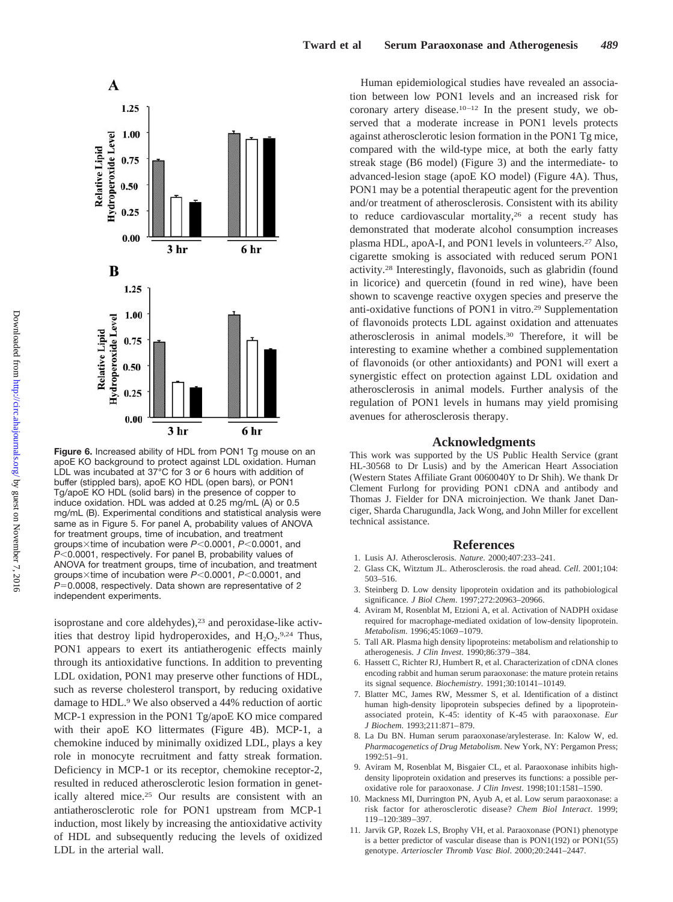

**Figure 6.** Increased ability of HDL from PON1 Tq mouse on an apoE KO background to protect against LDL oxidation. Human LDL was incubated at 37°C for 3 or 6 hours with addition of buffer (stippled bars), apoE KO HDL (open bars), or PON1 Tg/apoE KO HDL (solid bars) in the presence of copper to induce oxidation. HDL was added at 0.25 mg/mL (A) or 0.5 mg/mL (B). Experimental conditions and statistical analysis were same as in Figure 5. For panel A, probability values of ANOVA for treatment groups, time of incubation, and treatment groups×time of incubation were *P*<0.0001, *P*<0.0001, and *P*<0.0001, respectively. For panel B, probability values of ANOVA for treatment groups, time of incubation, and treatment groups×time of incubation were *P*<0.0001, *P*<0.0001, and *P*=0.0008, respectively. Data shown are representative of 2 independent experiments.

isoprostane and core aldehydes),<sup>23</sup> and peroxidase-like activities that destroy lipid hydroperoxides, and  $H_2O_2$ .<sup>9,24</sup> Thus, PON1 appears to exert its antiatherogenic effects mainly through its antioxidative functions. In addition to preventing LDL oxidation, PON1 may preserve other functions of HDL, such as reverse cholesterol transport, by reducing oxidative damage to HDL.9 We also observed a 44% reduction of aortic MCP-1 expression in the PON1 Tg/apoE KO mice compared with their apoE KO littermates (Figure 4B). MCP-1, a chemokine induced by minimally oxidized LDL, plays a key role in monocyte recruitment and fatty streak formation. Deficiency in MCP-1 or its receptor, chemokine receptor-2, resulted in reduced atherosclerotic lesion formation in genetically altered mice.25 Our results are consistent with an antiatherosclerotic role for PON1 upstream from MCP-1 induction, most likely by increasing the antioxidative activity of HDL and subsequently reducing the levels of oxidized LDL in the arterial wall.

Human epidemiological studies have revealed an association between low PON1 levels and an increased risk for coronary artery disease.10–12 In the present study, we observed that a moderate increase in PON1 levels protects against atherosclerotic lesion formation in the PON1 Tg mice, compared with the wild-type mice, at both the early fatty streak stage (B6 model) (Figure 3) and the intermediate- to advanced-lesion stage (apoE KO model) (Figure 4A). Thus, PON1 may be a potential therapeutic agent for the prevention and/or treatment of atherosclerosis. Consistent with its ability to reduce cardiovascular mortality,26 a recent study has demonstrated that moderate alcohol consumption increases plasma HDL, apoA-I, and PON1 levels in volunteers.27 Also, cigarette smoking is associated with reduced serum PON1 activity.28 Interestingly, flavonoids, such as glabridin (found in licorice) and quercetin (found in red wine), have been shown to scavenge reactive oxygen species and preserve the anti-oxidative functions of PON1 in vitro.29 Supplementation of flavonoids protects LDL against oxidation and attenuates atherosclerosis in animal models.30 Therefore, it will be interesting to examine whether a combined supplementation of flavonoids (or other antioxidants) and PON1 will exert a synergistic effect on protection against LDL oxidation and atherosclerosis in animal models. Further analysis of the regulation of PON1 levels in humans may yield promising avenues for atherosclerosis therapy.

### **Acknowledgments**

This work was supported by the US Public Health Service (grant HL-30568 to Dr Lusis) and by the American Heart Association (Western States Affiliate Grant 0060040Y to Dr Shih). We thank Dr Clement Furlong for providing PON1 cDNA and antibody and Thomas J. Fielder for DNA microinjection. We thank Janet Danciger, Sharda Charugundla, Jack Wong, and John Miller for excellent technical assistance.

#### **References**

- 1. Lusis AJ. Atherosclerosis. *Nature.* 2000;407:233–241.
- 2. Glass CK, Witztum JL. Atherosclerosis. the road ahead. *Cell*. 2001;104: 503–516.
- 3. Steinberg D. Low density lipoprotein oxidation and its pathobiological significance. *J Biol Chem*. 1997;272:20963–20966.
- 4. Aviram M, Rosenblat M, Etzioni A, et al. Activation of NADPH oxidase required for macrophage-mediated oxidation of low-density lipoprotein. *Metabolism*. 1996;45:1069–1079.
- 5. Tall AR. Plasma high density lipoproteins: metabolism and relationship to atherogenesis. *J Clin Invest*. 1990;86:379–384.
- 6. Hassett C, Richter RJ, Humbert R, et al. Characterization of cDNA clones encoding rabbit and human serum paraoxonase: the mature protein retains its signal sequence. *Biochemistry*. 1991;30:10141–10149.
- 7. Blatter MC, James RW, Messmer S, et al. Identification of a distinct human high-density lipoprotein subspecies defined by a lipoproteinassociated protein, K-45: identity of K-45 with paraoxonase. *Eur J Biochem*. 1993;211:871–879.
- 8. La Du BN. Human serum paraoxonase/arylesterase. In: Kalow W, ed. *Pharmacogenetics of Drug Metabolism*. New York, NY: Pergamon Press; 1992:51–91.
- 9. Aviram M, Rosenblat M, Bisgaier CL, et al. Paraoxonase inhibits highdensity lipoprotein oxidation and preserves its functions: a possible peroxidative role for paraoxonase. *J Clin Invest*. 1998;101:1581–1590.
- 10. Mackness MI, Durrington PN, Ayub A, et al. Low serum paraoxonase: a risk factor for atherosclerotic disease? *Chem Biol Interact*. 1999; 119–120:389–397.
- 11. Jarvik GP, Rozek LS, Brophy VH, et al. Paraoxonase (PON1) phenotype is a better predictor of vascular disease than is PON1(192) or PON1(55) genotype. *Arterioscler Thromb Vasc Biol*. 2000;20:2441–2447.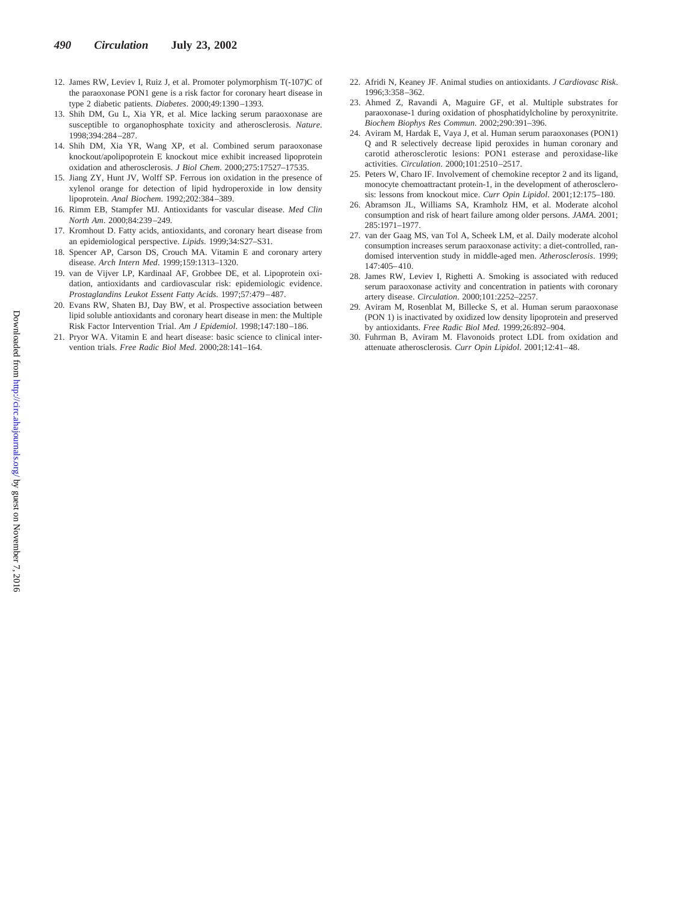- 12. James RW, Leviev I, Ruiz J, et al. Promoter polymorphism T(-107)C of the paraoxonase PON1 gene is a risk factor for coronary heart disease in type 2 diabetic patients. *Diabetes*. 2000;49:1390–1393.
- 13. Shih DM, Gu L, Xia YR, et al. Mice lacking serum paraoxonase are susceptible to organophosphate toxicity and atherosclerosis. *Nature*. 1998;394:284–287.
- 14. Shih DM, Xia YR, Wang XP, et al. Combined serum paraoxonase knockout/apolipoprotein E knockout mice exhibit increased lipoprotein oxidation and atherosclerosis. *J Biol Chem*. 2000;275:17527–17535.
- 15. Jiang ZY, Hunt JV, Wolff SP. Ferrous ion oxidation in the presence of xylenol orange for detection of lipid hydroperoxide in low density lipoprotein. *Anal Biochem*. 1992;202:384–389.
- 16. Rimm EB, Stampfer MJ. Antioxidants for vascular disease. *Med Clin North Am*. 2000;84:239–249.
- 17. Kromhout D. Fatty acids, antioxidants, and coronary heart disease from an epidemiological perspective. *Lipids*. 1999;34:S27–S31.
- 18. Spencer AP, Carson DS, Crouch MA. Vitamin E and coronary artery disease. *Arch Intern Med*. 1999;159:1313–1320.
- 19. van de Vijver LP, Kardinaal AF, Grobbee DE, et al. Lipoprotein oxidation, antioxidants and cardiovascular risk: epidemiologic evidence. *Prostaglandins Leukot Essent Fatty Acids*. 1997;57:479–487.
- 20. Evans RW, Shaten BJ, Day BW, et al. Prospective association between lipid soluble antioxidants and coronary heart disease in men: the Multiple Risk Factor Intervention Trial. *Am J Epidemiol*. 1998;147:180–186.
- 21. Pryor WA. Vitamin E and heart disease: basic science to clinical intervention trials. *Free Radic Biol Med*. 2000;28:141–164.
- 22. Afridi N, Keaney JF. Animal studies on antioxidants. *J Cardiovasc Risk*. 1996;3:358–362.
- 23. Ahmed Z, Ravandi A, Maguire GF, et al. Multiple substrates for paraoxonase-1 during oxidation of phosphatidylcholine by peroxynitrite. *Biochem Biophys Res Commun*. 2002;290:391–396.
- 24. Aviram M, Hardak E, Vaya J, et al. Human serum paraoxonases (PON1) Q and R selectively decrease lipid peroxides in human coronary and carotid atherosclerotic lesions: PON1 esterase and peroxidase-like activities. *Circulation*. 2000;101:2510–2517.
- 25. Peters W, Charo IF. Involvement of chemokine receptor 2 and its ligand, monocyte chemoattractant protein-1, in the development of atherosclerosis: lessons from knockout mice. *Curr Opin Lipidol*. 2001;12:175–180.
- 26. Abramson JL, Williams SA, Kramholz HM, et al. Moderate alcohol consumption and risk of heart failure among older persons. *JAMA*. 2001; 285:1971–1977.
- 27. van der Gaag MS, van Tol A, Scheek LM, et al. Daily moderate alcohol consumption increases serum paraoxonase activity: a diet-controlled, randomised intervention study in middle-aged men. *Atherosclerosis*. 1999; 147:405–410.
- 28. James RW, Leviev I, Righetti A. Smoking is associated with reduced serum paraoxonase activity and concentration in patients with coronary artery disease. *Circulation*. 2000;101:2252–2257.
- 29. Aviram M, Rosenblat M, Billecke S, et al. Human serum paraoxonase (PON 1) is inactivated by oxidized low density lipoprotein and preserved by antioxidants. *Free Radic Biol Med*. 1999;26:892–904.
- 30. Fuhrman B, Aviram M. Flavonoids protect LDL from oxidation and attenuate atherosclerosis. *Curr Opin Lipidol*. 2001;12:41–48.